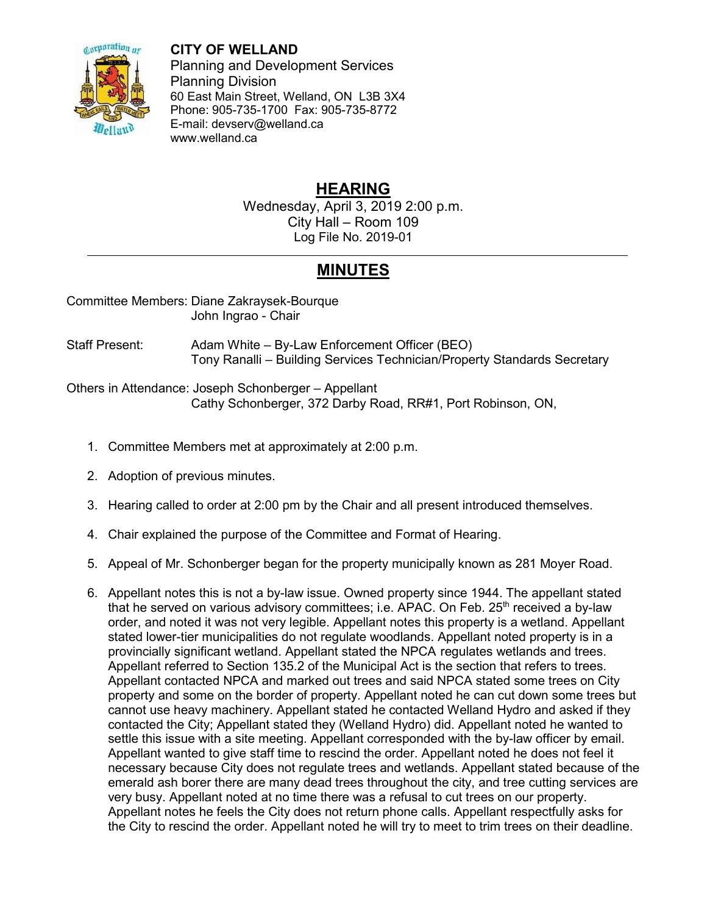

**CITY OF WELLAND**

Planning and Development Services Planning Division 60 East Main Street, Welland, ON L3B 3X4 Phone: 905-735-1700 Fax: 905-735-8772 E-mail: devserv@welland.ca www.welland.ca

## **HEARING**

Wednesday, April 3, 2019 2:00 p.m. City Hall – Room 109 Log File No. 2019-01

## **MINUTES**

Committee Members: Diane Zakraysek-Bourque John Ingrao - Chair

Staff Present: Adam White – By-Law Enforcement Officer (BEO) Tony Ranalli – Building Services Technician/Property Standards Secretary

Others in Attendance: Joseph Schonberger – Appellant Cathy Schonberger, 372 Darby Road, RR#1, Port Robinson, ON,

- 1. Committee Members met at approximately at 2:00 p.m.
- 2. Adoption of previous minutes.
- 3. Hearing called to order at 2:00 pm by the Chair and all present introduced themselves.
- 4. Chair explained the purpose of the Committee and Format of Hearing.
- 5. Appeal of Mr. Schonberger began for the property municipally known as 281 Moyer Road.
- 6. Appellant notes this is not a by-law issue. Owned property since 1944. The appellant stated that he served on various advisory committees; i.e. APAC. On Feb. 25<sup>th</sup> received a by-law order, and noted it was not very legible. Appellant notes this property is a wetland. Appellant stated lower-tier municipalities do not regulate woodlands. Appellant noted property is in a provincially significant wetland. Appellant stated the NPCA regulates wetlands and trees. Appellant referred to Section 135.2 of the Municipal Act is the section that refers to trees. Appellant contacted NPCA and marked out trees and said NPCA stated some trees on City property and some on the border of property. Appellant noted he can cut down some trees but cannot use heavy machinery. Appellant stated he contacted Welland Hydro and asked if they contacted the City; Appellant stated they (Welland Hydro) did. Appellant noted he wanted to settle this issue with a site meeting. Appellant corresponded with the by-law officer by email. Appellant wanted to give staff time to rescind the order. Appellant noted he does not feel it necessary because City does not regulate trees and wetlands. Appellant stated because of the emerald ash borer there are many dead trees throughout the city, and tree cutting services are very busy. Appellant noted at no time there was a refusal to cut trees on our property. Appellant notes he feels the City does not return phone calls. Appellant respectfully asks for the City to rescind the order. Appellant noted he will try to meet to trim trees on their deadline.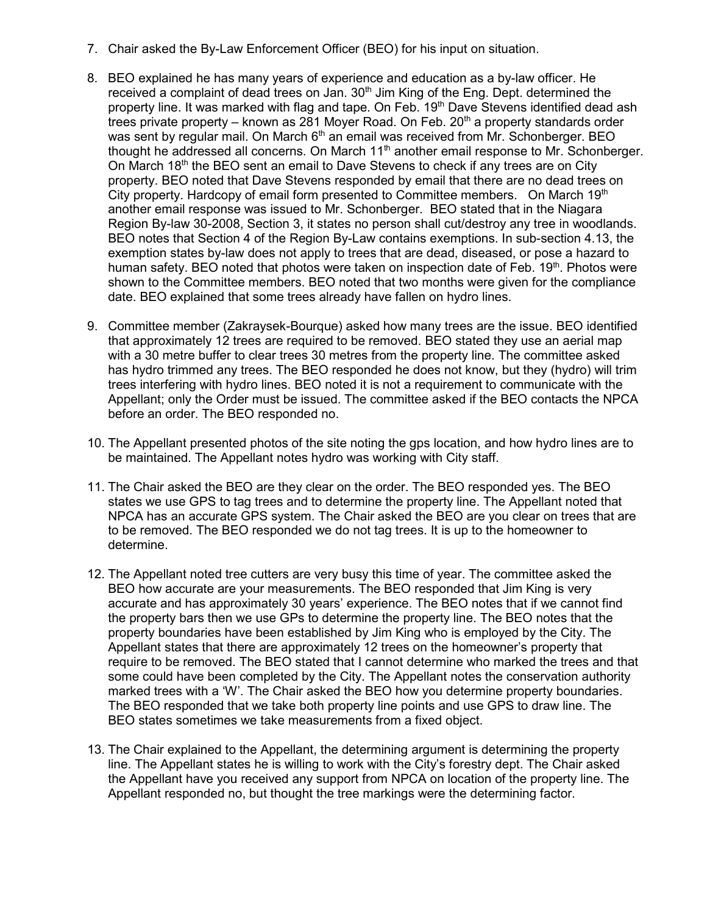- 7. Chair asked the By-Law Enforcement Officer (BEO) for his input on situation.
- 8. BEO explained he has many years of experience and education as a by-law officer. He received a complaint of dead trees on Jan. 30<sup>th</sup> Jim King of the Eng. Dept. determined the property line. It was marked with flag and tape. On Feb. 19<sup>th</sup> Dave Stevens identified dead ash trees private property – known as  $281$  Moyer Road. On Feb.  $20<sup>th</sup>$  a property standards order was sent by regular mail. On March  $6<sup>th</sup>$  an email was received from Mr. Schonberger. BEO thought he addressed all concerns. On March  $11<sup>th</sup>$  another email response to Mr. Schonberger. On March  $18<sup>th</sup>$  the BEO sent an email to Dave Stevens to check if any trees are on City property. BEO noted that Dave Stevens responded by email that there are no dead trees on City property. Hardcopy of email form presented to Committee members. On March  $19<sup>th</sup>$ another email response was issued to Mr. Schonberger. BEO stated that in the Niagara Region By-law 30-2008, Section 3, it states no person shall cut/destroy any tree in woodlands. BEO notes that Section 4 of the Region By-Law contains exemptions. In sub-section 4.13, the exemption states by-law does not apply to trees that are dead, diseased, or pose a hazard to human safety. BEO noted that photos were taken on inspection date of Feb. 19th. Photos were shown to the Committee members. BEO noted that two months were given for the compliance date. BEO explained that some trees already have fallen on hydro lines.
- 9. Committee member (Zakraysek-Bourque) asked how many trees are the issue. BEO identified that approximately 12 trees are required to be removed. BEO stated they use an aerial map with a 30 metre buffer to clear trees 30 metres from the property line. The committee asked has hydro trimmed any trees. The BEO responded he does not know, but they (hydro) will trim trees interfering with hydro lines. BEO noted it is not a requirement to communicate with the Appellant; only the Order must be issued. The committee asked if the BEO contacts the NPCA before an order. The BEO responded no.
- 10. The Appellant presented photos of the site noting the gps location, and how hydro lines are to be maintained. The Appellant notes hydro was working with City staff.
- 11. The Chair asked the BEO are they clear on the order. The BEO responded yes. The BEO states we use GPS to tag trees and to determine the property line. The Appellant noted that NPCA has an accurate GPS system. The Chair asked the BEO are you clear on trees that are to be removed. The BEO responded we do not tag trees. It is up to the homeowner to determine.
- 12. The Appellant noted tree cutters are very busy this time of year. The committee asked the BEO how accurate are your measurements. The BEO responded that Jim King is very accurate and has approximately 30 years' experience. The BEO notes that if we cannot find the property bars then we use GPs to determine the property line. The BEO notes that the property boundaries have been established by Jim King who is employed by the City. The Appellant states that there are approximately 12 trees on the homeowner's property that require to be removed. The BEO stated that I cannot determine who marked the trees and that some could have been completed by the City. The Appellant notes the conservation authority marked trees with a 'W'. The Chair asked the BEO how you determine property boundaries. The BEO responded that we take both property line points and use GPS to draw line. The BEO states sometimes we take measurements from a fixed object.
- 13. The Chair explained to the Appellant, the determining argument is determining the property line. The Appellant states he is willing to work with the City's forestry dept. The Chair asked the Appellant have you received any support from NPCA on location of the property line. The Appellant responded no, but thought the tree markings were the determining factor.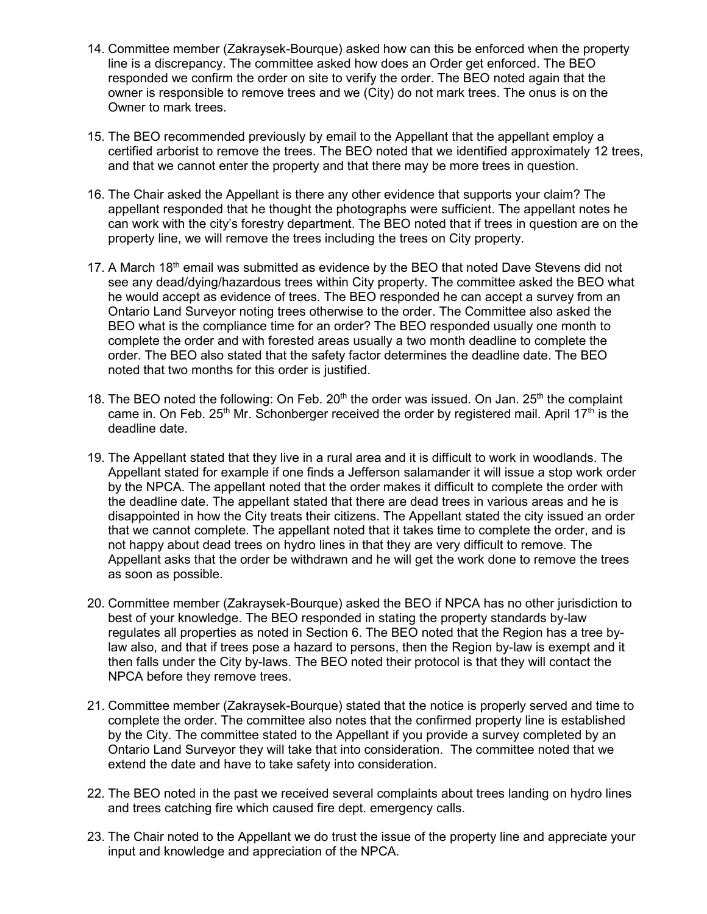- 14. Committee member (Zakraysek-Bourque) asked how can this be enforced when the property line is a discrepancy. The committee asked how does an Order get enforced. The BEO responded we confirm the order on site to verify the order. The BEO noted again that the owner is responsible to remove trees and we (City) do not mark trees. The onus is on the Owner to mark trees.
- 15. The BEO recommended previously by email to the Appellant that the appellant employ a certified arborist to remove the trees. The BEO noted that we identified approximately 12 trees, and that we cannot enter the property and that there may be more trees in question.
- 16. The Chair asked the Appellant is there any other evidence that supports your claim? The appellant responded that he thought the photographs were sufficient. The appellant notes he can work with the city's forestry department. The BEO noted that if trees in question are on the property line, we will remove the trees including the trees on City property.
- 17. A March 18<sup>th</sup> email was submitted as evidence by the BEO that noted Dave Stevens did not see any dead/dying/hazardous trees within City property. The committee asked the BEO what he would accept as evidence of trees. The BEO responded he can accept a survey from an Ontario Land Surveyor noting trees otherwise to the order. The Committee also asked the BEO what is the compliance time for an order? The BEO responded usually one month to complete the order and with forested areas usually a two month deadline to complete the order. The BEO also stated that the safety factor determines the deadline date. The BEO noted that two months for this order is justified.
- 18. The BEO noted the following: On Feb.  $20<sup>th</sup>$  the order was issued. On Jan.  $25<sup>th</sup>$  the complaint came in. On Feb.  $25<sup>th</sup>$  Mr. Schonberger received the order by registered mail. April 17<sup>th</sup> is the deadline date.
- 19. The Appellant stated that they live in a rural area and it is difficult to work in woodlands. The Appellant stated for example if one finds a Jefferson salamander it will issue a stop work order by the NPCA. The appellant noted that the order makes it difficult to complete the order with the deadline date. The appellant stated that there are dead trees in various areas and he is disappointed in how the City treats their citizens. The Appellant stated the city issued an order that we cannot complete. The appellant noted that it takes time to complete the order, and is not happy about dead trees on hydro lines in that they are very difficult to remove. The Appellant asks that the order be withdrawn and he will get the work done to remove the trees as soon as possible.
- 20. Committee member (Zakraysek-Bourque) asked the BEO if NPCA has no other jurisdiction to best of your knowledge. The BEO responded in stating the property standards by-law regulates all properties as noted in Section 6. The BEO noted that the Region has a tree bylaw also, and that if trees pose a hazard to persons, then the Region by-law is exempt and it then falls under the City by-laws. The BEO noted their protocol is that they will contact the NPCA before they remove trees.
- 21. Committee member (Zakraysek-Bourque) stated that the notice is properly served and time to complete the order. The committee also notes that the confirmed property line is established by the City. The committee stated to the Appellant if you provide a survey completed by an Ontario Land Surveyor they will take that into consideration. The committee noted that we extend the date and have to take safety into consideration.
- 22. The BEO noted in the past we received several complaints about trees landing on hydro lines and trees catching fire which caused fire dept. emergency calls.
- 23. The Chair noted to the Appellant we do trust the issue of the property line and appreciate your input and knowledge and appreciation of the NPCA.